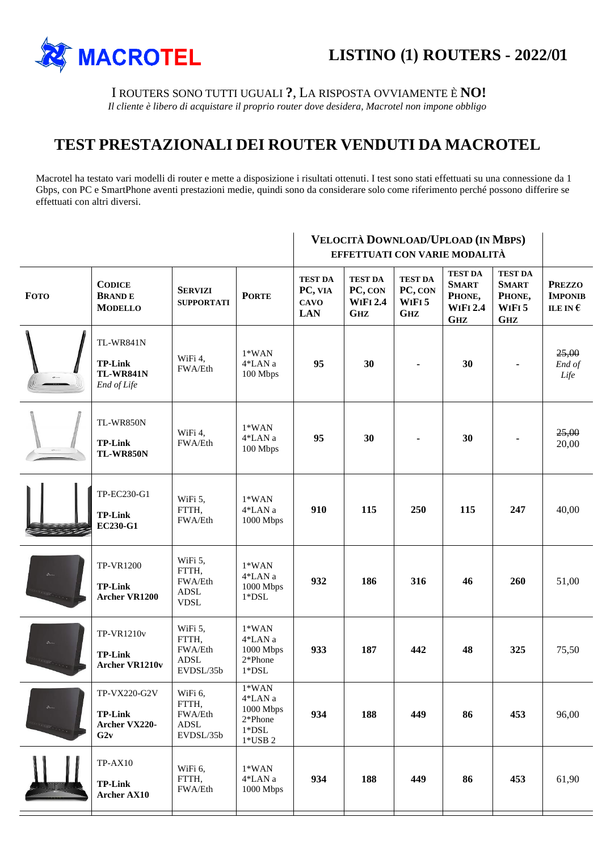

I ROUTERS SONO TUTTI UGUALI **?**, LA RISPOSTA OVVIAMENTE È **NO!**

*Il cliente è libero di acquistare il proprio router dove desidera, Macrotel non impone obbligo*

## **TEST PRESTAZIONALI DEI ROUTER VENDUTI DA MACROTEL**

Macrotel ha testato vari modelli di router e mette a disposizione i risultati ottenuti. I test sono stati effettuati su una connessione da 1 Gbps, con PC e SmartPhone aventi prestazioni medie, quindi sono da considerare solo come riferimento perché possono differire se effettuati con altri diversi.

|                  |                                                                | VELOCITÀ DOWNLOAD/UPLOAD (IN MBPS)<br>EFFETTUATI CON VARIE MODALITÀ |                                                                                                    |                                                        |                                                            |                                                              |                                                                           |                                                                 |                                                      |
|------------------|----------------------------------------------------------------|---------------------------------------------------------------------|----------------------------------------------------------------------------------------------------|--------------------------------------------------------|------------------------------------------------------------|--------------------------------------------------------------|---------------------------------------------------------------------------|-----------------------------------------------------------------|------------------------------------------------------|
| <b>FOTO</b>      | <b>CODICE</b><br><b>BRANDE</b><br><b>MODELLO</b>               | <b>SERVIZI</b><br><b>SUPPORTATI</b>                                 | <b>PORTE</b>                                                                                       | <b>TEST DA</b><br>PC, VIA<br><b>CAVO</b><br><b>LAN</b> | <b>TEST DA</b><br>PC, CON<br><b>WIFI 2.4</b><br><b>GHZ</b> | <b>TEST DA</b><br>PC, CON<br>WIFI <sub>5</sub><br><b>GHZ</b> | <b>TEST DA</b><br><b>SMART</b><br>PHONE,<br><b>WIFI 2.4</b><br><b>GHZ</b> | <b>TEST DA</b><br><b>SMART</b><br>PHONE,<br>WIFI5<br><b>GHZ</b> | <b>PREZZO</b><br><b>IMPONIB</b><br>ILE IN $\epsilon$ |
|                  | TL-WR841N<br><b>TP-Link</b><br><b>TL-WR841N</b><br>End of Life | WiFi 4,<br>FWA/Eth                                                  | $1*WAN$<br>4*LAN a<br>100 Mbps                                                                     | 95                                                     | 30                                                         |                                                              | 30                                                                        |                                                                 | 25,00<br>End of<br>Life                              |
|                  | TL-WR850N<br><b>TP-Link</b><br><b>TL-WR850N</b>                | WiFi 4,<br>FWA/Eth                                                  | $1*WAN$<br>4*LAN a<br>100 Mbps                                                                     | 95                                                     | 30                                                         |                                                              | 30                                                                        |                                                                 | 25,00<br>20,00                                       |
|                  | TP-EC230-G1<br><b>TP-Link</b><br><b>EC230-G1</b>               | WiFi 5,<br>FTTH,<br>FWA/Eth                                         | $1*WAN$<br>$4\rm{^*LAN}$ a<br>1000 Mbps                                                            | 910                                                    | 115                                                        | 250                                                          | 115                                                                       | 247                                                             | 40,00                                                |
| $\rho_{\rm esc}$ | <b>TP-VR1200</b><br><b>TP-Link</b><br><b>Archer VR1200</b>     | WiFi 5,<br>FTTH,<br>FWA/Eth<br><b>ADSL</b><br><b>VDSL</b>           | $1*WAN$<br>4*LAN a<br>1000 Mbps<br>$1*$ DSL                                                        | 932                                                    | 186                                                        | 316                                                          | 46                                                                        | 260                                                             | 51,00                                                |
| $\rho_{\rm esc}$ | TP-VR1210v<br><b>TP-Link</b><br><b>Archer VR1210v</b>          | WiFi 5,<br>FTTH,<br>FWA/Eth<br>ADSL<br>EVDSL/35b                    | $1*WAN$<br>$4*$ LAN $\rm{a}$<br>1000 Mbps<br>$2*Phone$<br>$1*$ DSL                                 | 933                                                    | 187                                                        | 442                                                          | 48                                                                        | 325                                                             | 75,50                                                |
| $\rho_{\rm res}$ | TP-VX220-G2V<br><b>TP-Link</b><br>Archer VX220-<br>G2v         | WiFi 6,<br>FTTH,<br>FWA/Eth<br>ADSL<br>EVDSL/35b                    | $1*WAN$<br>$4\rm{^*LAN}$ a<br>1000 Mbps<br>2*Phone<br>$1^{\ast}\mathrm{DSL}$<br>$1^{\ast}$ USB $2$ | 934                                                    | 188                                                        | 449                                                          | 86                                                                        | 453                                                             | 96,00                                                |
|                  | $TP-AX10$<br><b>TP-Link</b><br><b>Archer AX10</b>              | WiFi 6,<br>FTTH,<br>FWA/Eth                                         | $1*WAN$<br>4*LAN a<br>1000 Mbps                                                                    | 934                                                    | 188                                                        | 449                                                          | 86                                                                        | 453                                                             | 61,90                                                |